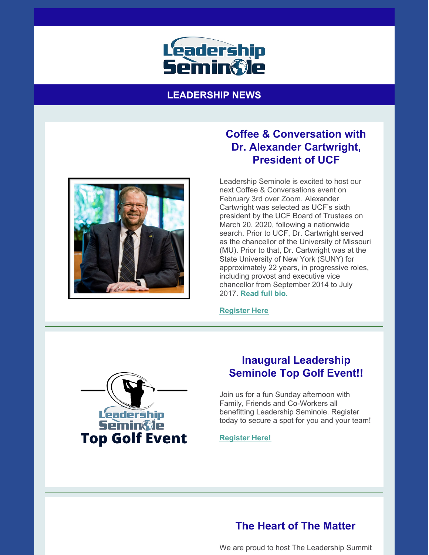

#### **LEADERSHIP NEWS**



## **Coffee & Conversation with Dr. Alexander Cartwright, President of UCF**

Leadership Seminole is excited to host our next Coffee & Conversations event on February 3rd over Zoom. Alexander Cartwright was selected as UCF's sixth president by the UCF Board of Trustees on March 20, 2020, following a nationwide search. Prior to UCF, Dr. Cartwright served as the chancellor of the University of Missouri (MU). Prior to that, Dr. Cartwright was at the State University of New York (SUNY) for approximately 22 years, in progressive roles, including provost and executive vice chancellor from September 2014 to July 2017. **[Read](https://leadershipseminole.org/wp-content/uploads/2013/01/Alexander-N.-Cartwright-Bio.pdf) full bio.**

**[Register](https://leadershipseminole.org/event/coffee-conversation/) Here**



### **Inaugural Leadership Seminole Top Golf Event!!**

Join us for a fun Sunday afternoon with Family, Friends and Co-Workers all benefitting Leadership Seminole. Register today to secure a spot for you and your team!

**[Register](https://leadershipseminole.org/event/top-golf/) Here!**

# **The Heart of The Matter**

We are proud to host The Leadership Summit